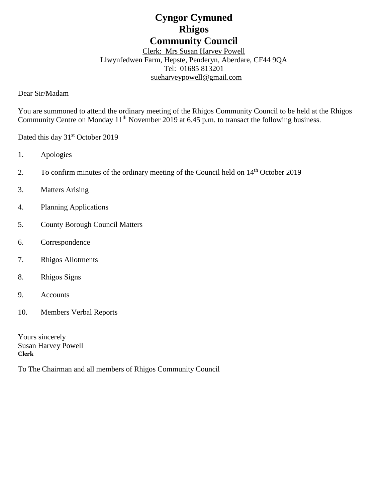# **Cyngor Cymuned Rhigos Community Council**

Clerk: Mrs Susan Harvey Powell Llwynfedwen Farm, Hepste, Penderyn, Aberdare, CF44 9QA Tel: 01685 813201 [sueharveypowell@g](mailto:sharveypowell@comin-infants.co.uk)mail.com

Dear Sir/Madam

You are summoned to attend the ordinary meeting of the Rhigos Community Council to be held at the Rhigos Community Centre on Monday 11<sup>th</sup> November 2019 at 6.45 p.m. to transact the following business.

Dated this day 31<sup>st</sup> October 2019

- 1. Apologies
- 2. To confirm minutes of the ordinary meeting of the Council held on 14<sup>th</sup> October 2019
- 3. Matters Arising
- 4. Planning Applications
- 5. County Borough Council Matters
- 6. Correspondence
- 7. Rhigos Allotments
- 8. Rhigos Signs
- 9. Accounts
- 10. Members Verbal Reports

Yours sincerely Susan Harvey Powell **Clerk**

To The Chairman and all members of Rhigos Community Council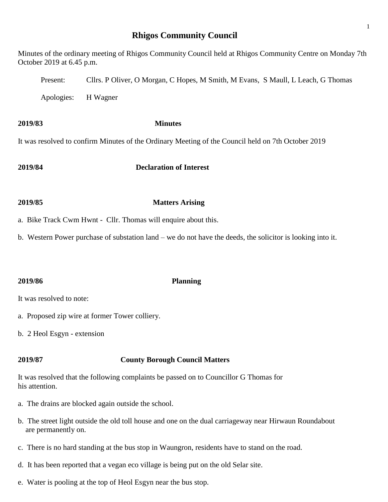## **Rhigos Community Council**

Minutes of the ordinary meeting of Rhigos Community Council held at Rhigos Community Centre on Monday 7th October 2019 at 6.45 p.m. Present: Cllrs. P Oliver, O Morgan, C Hopes, M Smith, M Evans, S Maull, L Leach, G Thomas Apologies: H Wagner

**2019/83 Minutes** It was resolved to confirm Minutes of the Ordinary Meeting of the Council held on 7th October 2019

**2019/84 Declaration of Interest**

- **2019/85 Matters Arising**
- a. Bike Track Cwm Hwnt Cllr. Thomas will enquire about this.
- b. Western Power purchase of substation land we do not have the deeds, the solicitor is looking into it.

## **2019/86 Planning**

It was resolved to note:

- a. Proposed zip wire at former Tower colliery.
- b. 2 Heol Esgyn extension

## **2019/87 County Borough Council Matters**

It was resolved that the following complaints be passed on to Councillor G Thomas for his attention.

- a. The drains are blocked again outside the school.
- b. The street light outside the old toll house and one on the dual carriageway near Hirwaun Roundabout are permanently on.
- c. There is no hard standing at the bus stop in Waungron, residents have to stand on the road.
- d. It has been reported that a vegan eco village is being put on the old Selar site.
- e. Water is pooling at the top of Heol Esgyn near the bus stop.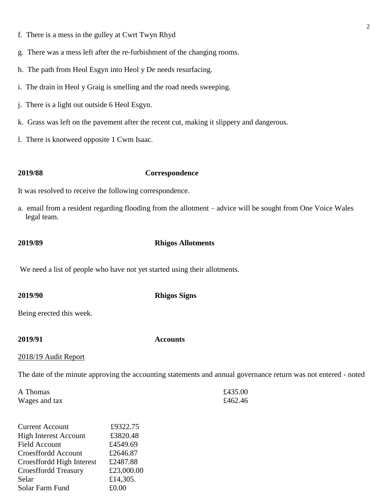- f. There is a mess in the gulley at Cwrt Twyn Rhyd
- g. There was a mess left after the re-furbishment of the changing rooms.
- h. The path from Heol Esgyn into Heol y De needs resurfacing.
- i. The drain in Heol y Graig is smelling and the road needs sweeping.
- j. There is a light out outside 6 Heol Esgyn.
- k. Grass was left on the pavement after the recent cut, making it slippery and dangerous.
- l. There is knotweed opposite 1 Cwm Isaac.

### **2019/88 Correspondence**

It was resolved to receive the following correspondence.

a. email from a resident regarding flooding from the allotment – advice will be sought from One Voice Wales legal team.

### **2019/89 Rhigos Allotments**

We need a list of people who have not yet started using their allotments.

**2019/90 Rhigos Signs**

Being erected this week.

**2019/91 Accounts**

### 2018/19 Audit Report

The date of the minute approving the accounting statements and annual governance return was not entered - noted

| A Thomas      | £435.00 |
|---------------|---------|
| Wages and tax | £462.46 |

| £9322.75   |
|------------|
| £3820.48   |
| £4549.69   |
| £2646.87   |
| £2487.88   |
| £23,000.00 |
| £14,305.   |
| £0.00      |
|            |